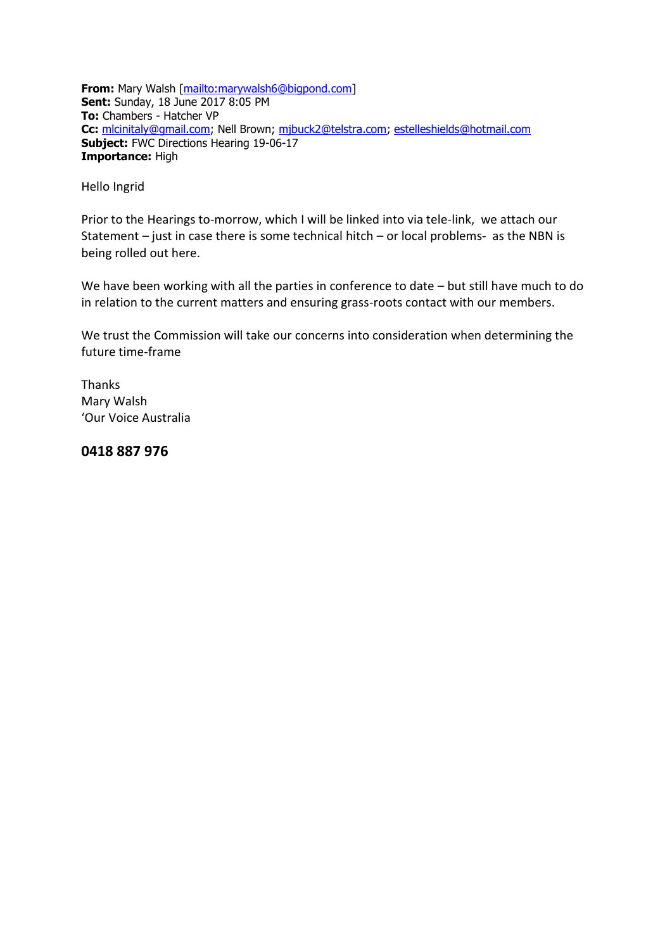**From:** Mary Walsh [\[mailto:marywalsh6@bigpond.com\]](mailto:marywalsh6@bigpond.com) **Sent:** Sunday, 18 June 2017 8:05 PM **To:** Chambers - Hatcher VP **Cc:** [mlcinitaly@gmail.com;](mailto:mlcinitaly@gmail.com) Nell Brown; [mjbuck2@telstra.com;](mailto:mjbuck2@telstra.com) [estelleshields@hotmail.com](mailto:estelleshields@hotmail.com) **Subject:** FWC Directions Hearing 19-06-17 **Importance:** High

Hello Ingrid

Prior to the Hearings to-morrow, which I will be linked into via tele-link, we attach our Statement – just in case there is some technical hitch – or local problems- as the NBN is being rolled out here.

We have been working with all the parties in conference to date – but still have much to do in relation to the current matters and ensuring grass-roots contact with our members.

We trust the Commission will take our concerns into consideration when determining the future time-frame

Thanks Mary Walsh 'Our Voice Australia

**0418 887 976**